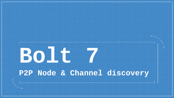# **Bolt 7 P2P Node & Channel discovery**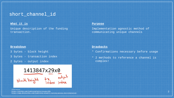## short channel id

## **What it is**

Unique description of the funding transaction.

#### **Breakdown**

- 3 bytes block height
- 3 bytes transaction index
- 2 bytes output index

1413847x29x0 block height tx output

#### references <https://github.com/lightning/bolts/issues/301> <https://www.derpturkey.com/lightning-network-routing-gossip-shortchannelid/>

#### **Purpose**

Implementation agnostic method of communicating unique channels

### **Drawbacks**

- \* Confirmations necessary before usage
- \* 2 methods to reference a channel is complex!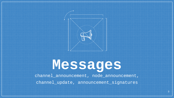

## **Messages**

channel\_announcement, node\_announcement, channel\_update, announcement\_signatures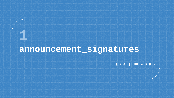## **announcement\_signatures**

**1**

gossip messages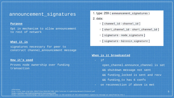## announcement\_signatures

#### **Purpose**

Opt in mechanism to allow announcement to rest of network

### **What it is**

signatures necessary for peer to construct channel\_announcement message

### **How it's used**

Proves node ownership over funding transaction

1. type: 259 (announcement\_signatures)

 $2.$  data:

- $\circ$  [ channel\_id : channel\_id ]
- o [short\_channel\_id : short\_channel\_id ]
- $\circ$  [ signature : node\_signature ]
- $\circ$  [ signature : bitcoin\_signature ]

### **When is it broadcasted**

- if

 open\_channel.announce\_channel is set && shutdown message not sent && funding\_locked is sent and recv && funding\_tx has 6 confs on reconnection if above is met

#### references

http://site.ieee.org/icbc-2019/files/2019/05/ICBC-2019-Tutorial-3-Lightning-Network-Protocol.pdf <https://github.com/lightningnetwork/lnd/issues/1636>

https://bitcoin.stackexchange.com/questions/80019/what-is-the-purpose-of-the-announcement-signatures-message-as-specified-by-the-l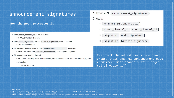## announcement\_signatures

#### **How the peer processes it**

- if the short channel id is NOT correct:
	- SHOULD fail the channel
- if the node\_signature OR the bitcoin\_signature is NOT correct: ○ MAY fail the channel.
- if it has sent AND received a valid announcement signatures message: ○ SHOULD queue the channel announcement message for its peers.
- if it has not sent funding locked:
	- o MAY defer handling the announcement\_signatures until after it has sent funding\_locked
	- o otherwise:
		- MUST ignore it.
- 1. type: 259 (announcement\_signatures)
- $2.$  data:
	- $\circ$  [ channel\_id : channel\_id ]
	- [ short\_channel\_id : short\_channel\_id ]
	- $\circ$  [ signature : node\_signature ]
	- $\circ$  [ signature : bitcoin\_signature ]

Failure to broadcast means peer cannot create their channel\_announcement edge (remember, most channels are 2 edges (bi-directional))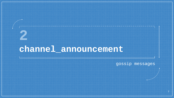**2**

gossip messages

7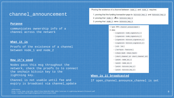#### **Purpose**

communicates ownership info of a channel across the network

## **What it is**

Proofs of the existence of a channel between node\_1 and node\_2

### **How it's used**

Nodes pass this msg throughout the network, check the proofs to to connect the onchain bitcoin key to the lightning key.

Channel is not usable until fee and expiry is broadcast via channel\_update Proving the existence of a channel between node\_1 and node\_2 requires:

1. proving that the funding transaction pays to bitcoin\_key\_1 and bitcoin\_key\_2 2. proving that node 1 owns bitcoin key 1 3. proving that node 2 owns bitcoin key 2

1. type: 256 (channel announcement)

#### $2.$  data:

- o [signature : node signature 1]
- o [signature : node\_signature\_2 ]
- o [signature: bitcoin\_signature\_1]
- o [signature: bitcoin\_signature\_2]
- $\circ$  [ u16 : len ]
- o [ len\*byte : features ]
- O [ chain\_hash : chain\_hash ]
- o [short\_channel\_id:short\_channel\_id]
- $\circ$  [ point : node\_id\_1 ]
- $\circ$  [ point : node\_id\_2 ]
- o [ point : bitcoin\_key\_1 ]
- o [ point : bitcoin\_key\_2 ]

## **When is it broadcasted**

If open channel.announce channel is set

references

http://site.ieee.org/icbc-2019/files/2019/05/ICBC-2019-Tutorial-3-Lightning-Network-Protocol.pdf https://github.com/lightningnetwork/lnd/issues/1636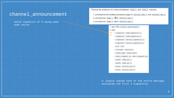valid signature of h using each node secret

Proving the existence of a channel between node\_1 and node\_2 requires:

1. proving that the funding transaction pays to bitcoin\_key\_1 and bitcoin\_key\_2 2. proving that node\_1 owns bitcoin\_key\_1 3. proving that node\_2 owns bitcoin\_key\_2

> 1. type: 256 (channel announcement) 2. data: o [signature : node signature 1] o [signature: node\_signature\_2] o [signature: bitcoin\_signature\_1] o [signature: bitcoin\_signature\_2 ]  $\circ$  [ u16 : len ] o [ len\*byte : features ] o [chain\_hash : chain\_hash ] o [short\_channel\_id : short\_channel\_id ]  $\circ$  [ point : node\_id\_1 ]  $\circ$  [ point : node\_id\_2 ] o [ point : bitcoin\_key\_1 ] o [ point : bitcoin\_key\_2 ]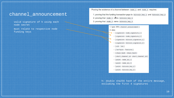valid signature of h using each node secret

must relate to respective node funding keys

Proving the existence of a channel between node\_1 and node\_2 requires:

1. proving that the funding transaction pays to bitcoin\_key\_1 and bitcoin\_key\_2 2. proving that node\_1 owns bitcoin\_key\_1 3. proving that node\_2 owns bitcoin\_key\_2

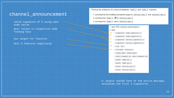valid signature of h using each node secret

must relate to respective node funding keys

min length for features

bolt 9 features negotiated

Proving the existence of a channel between node\_1 and node\_2 requires:

1. proving that the funding transaction pays to bitcoin\_key\_1 and bitcoin\_key\_2 2. proving that node\_1 owns bitcoin\_key\_1 3. proving that node\_2 owns bitcoin\_key\_2

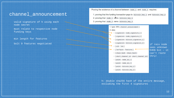valid signature of h using each node secret

must relate to respective node funding keys

min length for features

bolt 9 features negotiated

Proving the existence of a channel between node\_1 and node\_2 requires:

1. proving that the funding transaction pays to bitcoin\_key\_1 and bitcoin\_key\_2 2. proving that node\_1 owns bitcoin\_key\_1 3. proving that node 2 owns bitcoin key 2

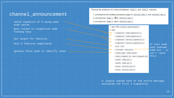valid signature of h using each node secret

must relate to respective node funding keys

min length for features

bolt 9 features negotiated

genesis block hash to identify chain

Proving the existence of a channel between node\_1 and node\_2 requires:

1. proving that the funding transaction pays to bitcoin\_key\_1 and bitcoin\_key\_2 2. proving that node\_1 owns bitcoin\_key\_1 3. proving that node 2 owns bitcoin key 2

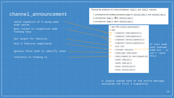valid signature of h using each node secret

must relate to respective node funding keys

min length for features

bolt 9 features negotiated

genesis block hash to identify chain

reference to funding tx

Proving the existence of a channel between node\_1 and node\_2 requires:

1. proving that the funding transaction pays to bitcoin\_key\_1 and bitcoin\_key\_2 2. proving that node\_1 owns bitcoin\_key\_1 3. proving that node 2 owns bitcoin key 2

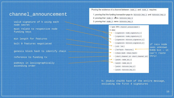valid signature of h using each node secret

must relate to respective node funding keys

min length for features

bolt 9 features negotiated

genesis block hash to identify chain

reference to funding tx

pubkeys in lexicographically ascending order

Proving the existence of a channel between node\_1 and node\_2 requires:

1. proving that the funding transaction pays to bitcoin\_key\_1 and bitcoin\_key\_2 2. proving that node\_1 owns bitcoin\_key\_1 3. proving that node 2 owns bitcoin key 2

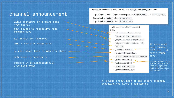valid signature of h using each node secret

must relate to respective node funding keys

min length for features

bolt 9 features negotiated

genesis block hash to identify chain

reference to funding tx

pubkeys in lexicographically ascending order

Proving the existence of a channel between node\_1 and node\_2 requires:

1. proving that the funding transaction pays to bitcoin\_key\_1 and bitcoin\_key\_2 2. proving that node\_1 owns bitcoin\_key\_1 3. proving that node 2 owns bitcoin key 2

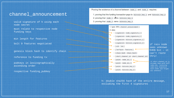valid signature of h using each node secret

must relate to respective node funding keys

min length for features

bolt 9 features negotiated

genesis block hash to identify chain

reference to funding tx

pubkeys in lexicographically ascending order

respective funding\_pubkey

Proving the existence of a channel between node\_1 and node\_2 requires:

1. proving that the funding transaction pays to bitcoin\_key\_1 and bitcoin\_key\_2 2. proving that node\_1 owns bitcoin\_key\_1 3. proving that node 2 owns bitcoin key 2

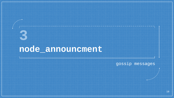## **node\_announcment**

**3**

gossip messages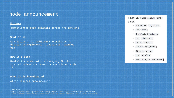## node\_announcement

#### **Purpose**

communicates node metadata across the network

#### **What it is**

connection info, arbitrary attributes for display on explorers, broadcasted features, etc

#### **How it's used**

Useful for nodes with a changing IP. Is ignored unless a channel is associated with it.

#### **When is it broadcasted**

After channel\_announcement

references

http://site.ieee.org/icbc-2019/files/2019/05/ICBC-2019-Tutorial-3-Lightning-Network-Protocol.pdf https://bitcoin.stackexchange.com/questions/80546/how-does-the-lightning-network-handle-changing-ips

1. type: 257 (node\_announcement) 2. data:

 $\circ$  [ signature : signature ]

 $\circ$  [ u16 : flen ]

o [flen\*byte : features ]

 $\circ$  [ u32 : timestamp ]

 $\circ$  [ point : node\_id ]

o [ 3\*byte : rgb color ]

 $\circ$  [ 32\*byte : alias ]

 $\circ$  [ u16 : addrlen]

o [addrlen\*byte : addresses ]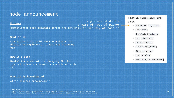## node\_announcement

#### **Purpose**

communicates node metadata across the network $w$ ith sec key of node $\_id$ 

#### **What it is**

connection info, arbitrary attributes for display on explorers, broadcasted features, etc

#### **How it's used**

Useful for nodes with a changing IP. Is ignored unless a channel is associated with it.

#### **When is it broadcasted**

After channel\_announcement

references

http://site.ieee.org/icbc-2019/files/2019/05/ICBC-2019-Tutorial-3-Lightning-Network-Protocol.pdf https://bitcoin.stackexchange.com/questions/80546/how-does-the-lightning-network-handle-changing-ips

## 1. type: 257 (node\_announcement) 2. data:

 $\circ$  [ signature : signature ]

 $\circ$  [ u16 : flen ]

signature of double

sha256 of rest of packet

- o [flen\*byte : features ]
- $\circ$  [ u32 : timestamp ]
- $\circ$  [ point : node\_id ]
- o [ 3\*byte : rgb color ]
- $\circ$  [ 32\*byte : alias ]
- $\circ$  [ u16 : addrlen]
- o [addrlen\*byte : addresses ]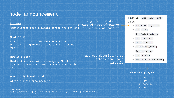## node\_announcement

#### **Purpose**

communicates node metadata across the network with sec key of node\_id

#### **What it is**

connection info, arbitrary attributes for display on explorers, broadcasted features, etc

#### **How it's used**

Useful for nodes with a changing IP. Is ignored unless a channel is associated with it.

#### **When is it broadcasted**

After channel\_announcement

#### references

http://site.ieee.org/icbc-2019/files/2019/05/ICBC-2019-Tutorial-3-Lightning-Network-Protocol.pdf https://bitcoin.stackexchange.com/questions/80546/how-does-the-lightning-network-handle-changing-ips

### address descriptors so others can reach directly

signature of double

sha256 of rest of packet

1. type: 257 (node\_announcement) 2. data:

 $\circ$  [ signature : signature ]

 $\circ$  [ u16 : flen ]

- o [flen\*byte : features ]
- $\circ$  [ u32 : timestamp ]
- $\circ$  [ point : node\_id ]
- o [ 3\*byte : rgb color ]
- $\circ$  [ 32\*byte : alias ]
- $\circ$  [ u16 : addrlen]

o [addrlen\*byte : addresses ]

## defined types:

- $1 i$ pv4
- $2 ipv6$
- 3 TorV2 [Deprecated]
- $4 TorV3$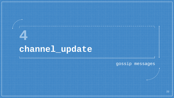**4**

gossip messages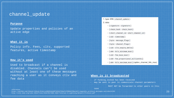#### **Purpose**

Update properties and policies of an active edge

### **What it is**

Policy info. Fees, cltv, supported features, active timestamp

### **How it's used**

references

Used to broadcast if a channel is disabled. Channels can't be used without at least one of these messages reaching a user as it conveys ctlv and fee data

1. type: 258 (channel\_update)

#### 2. data:

- o [ signature : signature ]
- o [chain\_hash : chain\_hash ]
- o [short\_channel\_id : short\_channel\_id ]
- $\circ$  [ u32 : timestamp ]
- o [ byte : message flags ]
- o [ byte : channel\_flags ]
- o [u16: cltv\_expiry\_delta]
- o [ u64 : htlc\_minimum\_msat ]
- o [u32 : fee base msat]
- o [u32: fee\_proportional\_millionths]
- o [u64: htlc\_maximum\_msat ] (option channel htlc max)

## **When is it broadcasted**

- if funding\_locked has been received
- may be sent to peer to communicate channel parameters

MUST NOT be forwarded to other peers in this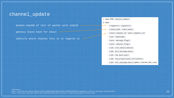double-sha256 of rest of packet with nodeID

genesis block hash for chain

identify which channel this is in regards to

- 1. type: 258 (channel\_update) 2. data: o [signature : signature ] o [chain\_hash : chain\_hash ] o [short\_channel\_id : short\_channel\_id ]  $\circ$  [ u32 : timestamp ] o [ byte : message\_flags ] o [ byte : channel\_flags ] o [u16: cltv\_expiry\_delta]
	- o [u64:htlc\_minimum\_msat]
	- o [u32 : fee base msat ]
	- o [u32: fee\_proportional\_millionths]
	- o [u64: htlc\_maximum\_msat ] (option channel htlc max)

#### references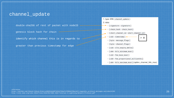double-sha256 of rest of packet with nodeID

genesis block hash for chain

identify which channel this is in regards to

greater than previous timestamp for edge

1. type: 258 (channel\_update) 2. data: o [signature : signature ] o [chain\_hash : chain\_hash ] o [short\_channel\_id:short\_channel\_id]  $\circ$  [ u32 : timestamp ]  $\triangleleft$ > 0o [ byte : message\_flags ] o [ byte : channel\_flags ] o [u16: cltv\_expiry\_delta] o [ u64 : htlc\_minimum\_msat ] o [u32 : fee base msat ]

- o [u32: fee\_proportional\_millionths]
- o [u64: htlc\_maximum\_msat ] (option channel htlc max)

#### references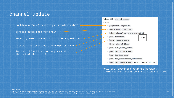double-sha256 of rest of packet with nodeID

genesis block hash for chain

identify which channel this is in regards to

greater than previous timestamp for edge

indicate if optional messages exist at the end of the core fields



only BOLT specified optional message. Indicates max amount sendable with one htlc

#### references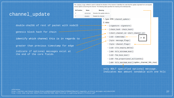The channel flags bitfield is used to indicate the direction of the channel: it identifies the node that this update originated from and signals various options concerning the channel. The following table specifies the meaning of its individual bits;



only BOLT specified optional message. Indicates max amount sendable with one htlc

double-sha256 of rest of packet with nodeID

genesis block hash for chain

identify which channel this is in regards to

greater than previous timestamp for edge

indicate if optional messages exist at the end of the core fields

#### references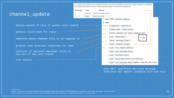The channel flags bitfield is used to indicate the direction of the channel: it identifies the node that this update originated from and signals various options concerning the channel. The following table specifies the meaning of its individual bits;



only BOLT specified optional message. Indicates max amount sendable with one htlc

#### references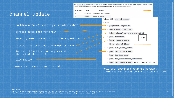The channel flags bitfield is used to indicate the direction of the channel: it identifies the node that this update originated from and signals various options concerning the channel. The following table specifies the meaning of its individual bits:

**Meaning** 



Name

**Rit Position** 

only BOLT specified optional message. Indicates max amount sendable with one htlc

#### references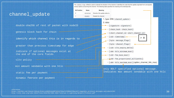The channel flags bitfield is used to indicate the direction of the channel: it identifies the node that this update originated from and signals various options concerning the channel. The following table specifies the meaning of its individual bits:



dynamic feerate per payment

references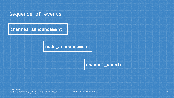## Sequence of events

**channel\_announcement**

## **node\_announcement**

**channel\_update**

references http://site.ieee.org/icbc-2019/files/2019/05/ICBC-2019-Tutorial-3-Lightning-Network-Protocol.pdf https://github.com/lightningnetwork/lnd/issues/1636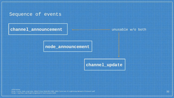## Sequence of events

## **channel\_announcement**

unusable w/o both

## **node\_announcement**

**channel\_update**

references http://site.ieee.org/icbc-2019/files/2019/05/ICBC-2019-Tutorial-3-Lightning-Network-Protocol.pdf https://github.com/lightningnetwork/lnd/issues/1636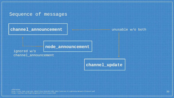## Sequence of messages

**channel\_announcement**

unusable w/o both

## **node\_announcement**

ignored w/o channel\_announcement

**channel\_update**

references http://site.ieee.org/icbc-2019/files/2019/05/ICBC-2019-Tutorial-3-Lightning-Network-Protocol.pdf https://github.com/lightningnetwork/lnd/issues/1636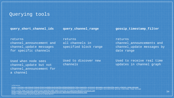## Querying tools

**query\_short\_channel\_ids**

**query\_channel\_range**

**gossip\_timestamp\_filter**

returns channel\_announcement and channel\_update messages for specific channels

returns all channels in specified block range returns channel announcements and channel\_update messages by date range

Used when node sees channel\_update but not channel\_announcement for a channel

Used to discover new channels

Used to receive real time updates in channel graph

references

https://qithub.com/lnbook/lnbook/blob/ece69d5c2ac8116ef83c1826bd43bd4b33c74dca/appendix\_protocol\_messages.asciidoc#the-query\_channel\_range-message https://github.com/lnbook/lnbook/blob/ece69d5c2ac8116ef83c1826bd43bd4b33c74dca/appendix\_protocol\_messages.asciidoc#the-gossip\_timestamp\_range-message <http://site.ieee.org/icbc-2019/files/2019/05/ICBC-2019-Tutorial-3-Lightning-Network-Protocol.pdf> <https://docs.rs/lightning/0.0.101/lightning/ln/msgs/struct.ReplyShortChannelIdsEnd.html> https://bitcoinops.org/en/newsletters/2019/08/07/